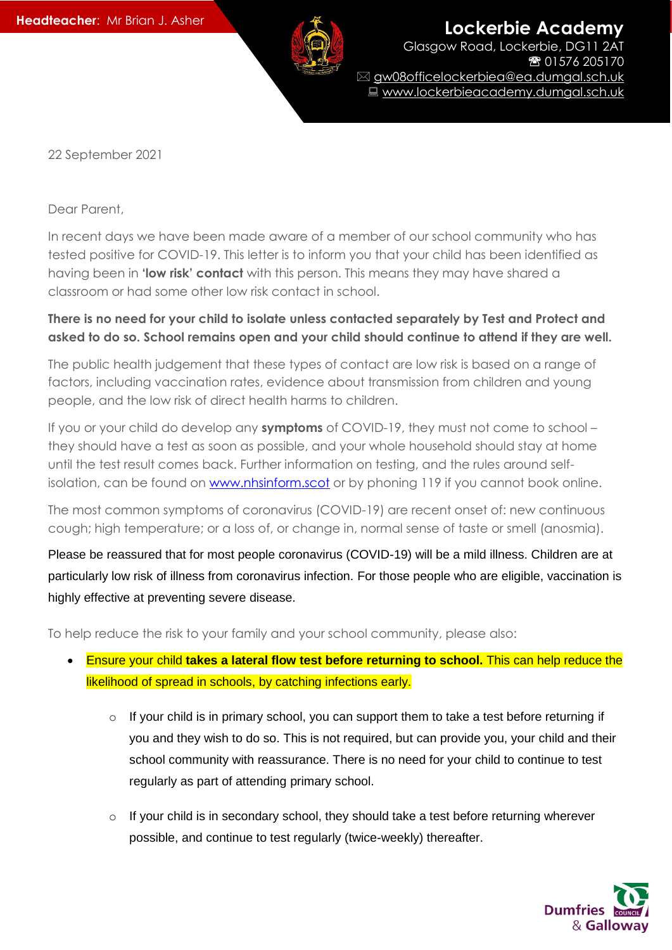

**Lockerbie Academy** Glasgow Road, Lockerbie, DG11 2AT 01576 205170 gw08officelockerbiea@ea.dumgal.sch.uk ■ www.lockerbieacademy.dumgal.sch.uk

22 September 2021

Dear Parent,

In recent days we have been made aware of a member of our school community who has tested positive for COVID-19. This letter is to inform you that your child has been identified as having been in **'low risk' contact** with this person. This means they may have shared a classroom or had some other low risk contact in school.

## **There is no need for your child to isolate unless contacted separately by Test and Protect and asked to do so. School remains open and your child should continue to attend if they are well.**

The public health judgement that these types of contact are low risk is based on a range of factors, including vaccination rates, evidence about transmission from children and young people, and the low risk of direct health harms to children.

If you or your child do develop any **symptoms** of COVID-19, they must not come to school – they should have a test as soon as possible, and your whole household should stay at home until the test result comes back. Further information on testing, and the rules around selfisolation, can be found on [www.nhsinform.scot](http://www.nhsinform.scot/) or by phoning 119 if you cannot book online.

The most common symptoms of coronavirus (COVID-19) are recent onset of: new continuous cough; high temperature; or a loss of, or change in, normal sense of taste or smell (anosmia).

Please be reassured that for most people coronavirus (COVID-19) will be a mild illness. Children are at particularly low risk of illness from coronavirus infection. For those people who are eligible, vaccination is highly effective at preventing severe disease.

To help reduce the risk to your family and your school community, please also:

- Ensure your child **takes a lateral flow test before returning to school.** This can help reduce the likelihood of spread in schools, by catching infections early.
	- o If your child is in primary school, you can support them to take a test before returning if you and they wish to do so. This is not required, but can provide you, your child and their school community with reassurance. There is no need for your child to continue to test regularly as part of attending primary school.
	- o If your child is in secondary school, they should take a test before returning wherever possible, and continue to test regularly (twice-weekly) thereafter.